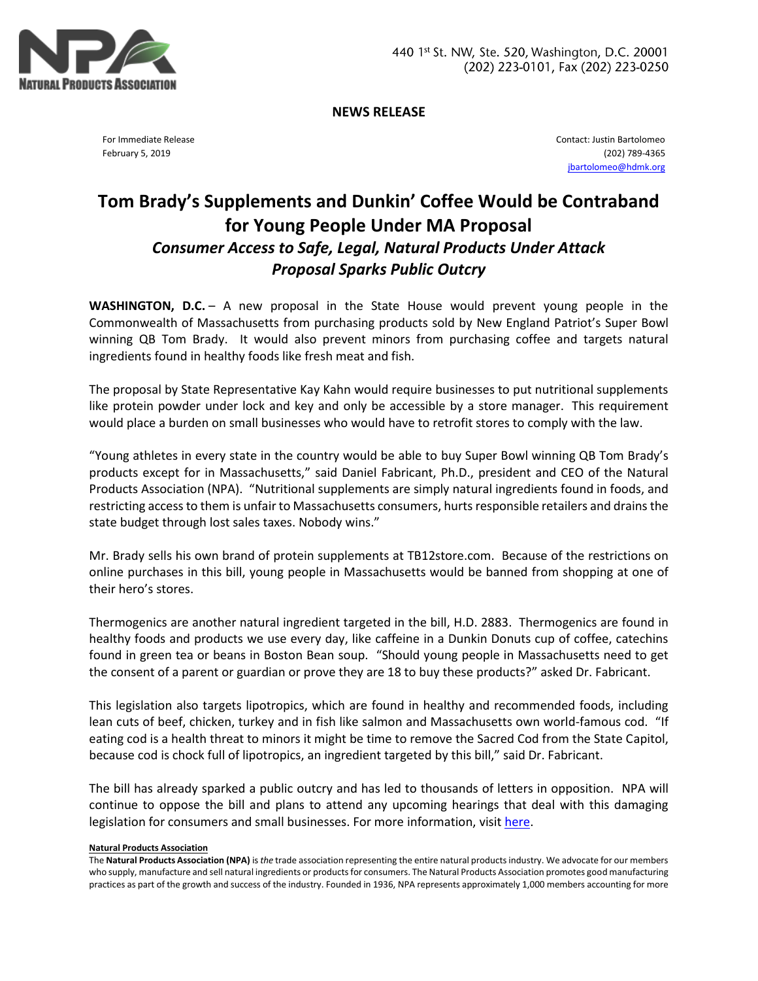

**NEWS RELEASE**

For Immediate Release February 5, 2019

Contact: Justin Bartolomeo (202) 789-4365 [jbartolomeo@hdmk.org](mailto:jbartolomeo@hdmk.org)

## **Tom Brady's Supplements and Dunkin' Coffee Would be Contraband for Young People Under MA Proposal** *Consumer Access to Safe, Legal, Natural Products Under Attack Proposal Sparks Public Outcry*

**WASHINGTON, D.C.** – A new proposal in the State House would prevent young people in the Commonwealth of Massachusetts from purchasing products sold by New England Patriot's Super Bowl winning QB Tom Brady. It would also prevent minors from purchasing coffee and targets natural ingredients found in healthy foods like fresh meat and fish.

The proposal by State Representative Kay Kahn would require businesses to put nutritional supplements like protein powder under lock and key and only be accessible by a store manager. This requirement would place a burden on small businesses who would have to retrofit stores to comply with the law.

"Young athletes in every state in the country would be able to buy Super Bowl winning QB Tom Brady's products except for in Massachusetts," said Daniel Fabricant, Ph.D., president and CEO of the Natural Products Association (NPA). "Nutritional supplements are simply natural ingredients found in foods, and restricting access to them is unfair to Massachusetts consumers, hurts responsible retailers and drains the state budget through lost sales taxes. Nobody wins."

Mr. Brady sells his own brand of protein supplements at TB12store.com. Because of the restrictions on online purchases in this bill, young people in Massachusetts would be banned from shopping at one of their hero's stores.

Thermogenics are another natural ingredient targeted in the bill, H.D. 2883. Thermogenics are found in healthy foods and products we use every day, like caffeine in a Dunkin Donuts cup of coffee, catechins found in green tea or beans in Boston Bean soup. "Should young people in Massachusetts need to get the consent of a parent or guardian or prove they are 18 to buy these products?" asked Dr. Fabricant.

This legislation also targets lipotropics, which are found in healthy and recommended foods, including lean cuts of beef, chicken, turkey and in fish like salmon and Massachusetts own world-famous cod. "If eating cod is a health threat to minors it might be time to remove the Sacred Cod from the State Capitol, because cod is chock full of lipotropics, an ingredient targeted by this bill," said Dr. Fabricant.

The bill has already sparked a public outcry and has led to thousands of letters in opposition. NPA will continue to oppose the bill and plans to attend any upcoming hearings that deal with this damaging legislation for consumers and small businesses. For more information, visi[t here.](Tom%20Brady’s Supplements%20and%20Dunkin)

## **Natural Products Association**

The **Natural Products Association (NPA)** is *the* trade association representing the entire natural products industry. We advocate for our members who supply, manufacture and sell natural ingredients or products for consumers. The Natural Products Association promotes good manufacturing practices as part of the growth and success of the industry. Founded in 1936, NPA represents approximately 1,000 members accounting for more